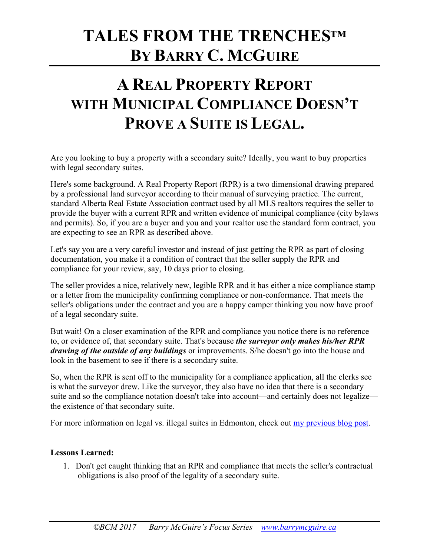## **TALES FROM THE TRENCHES™ BY BARRY C. MCGUIRE**

### **A REAL PROPERTY REPORT WITH MUNICIPAL COMPLIANCE DOESN'T PROVE A SUITE IS LEGAL.**

Are you looking to buy a property with a secondary suite? Ideally, you want to buy properties with legal secondary suites.

Here's some background. A Real Property Report (RPR) is a two dimensional drawing prepared by a professional land surveyor according to their manual of surveying practice. The current, standard Alberta Real Estate Association contract used by all MLS realtors requires the seller to provide the buyer with a current RPR and written evidence of municipal compliance (city bylaws and permits). So, if you are a buyer and you and your realtor use the standard form contract, you are expecting to see an RPR as described above.

Let's say you are a very careful investor and instead of just getting the RPR as part of closing documentation, you make it a condition of contract that the seller supply the RPR and compliance for your review, say, 10 days prior to closing.

The seller provides a nice, relatively new, legible RPR and it has either a nice compliance stamp or a letter from the municipality confirming compliance or non-conformance. That meets the seller's obligations under the contract and you are a happy camper thinking you now have proof of a legal secondary suite.

But wait! On a closer examination of the RPR and compliance you notice there is no reference to, or evidence of, that secondary suite. That's because *the surveyor only makes his/her RPR drawing of the outside of any buildings* or improvements. S/he doesn't go into the house and look in the basement to see if there is a secondary suite.

So, when the RPR is sent off to the municipality for a compliance application, all the clerks see is what the surveyor drew. Like the surveyor, they also have no idea that there is a secondary suite and so the compliance notation doesn't take into account—and certainly does not legalize the existence of that secondary suite.

For more information on legal vs. illegal suites in Edmonton, check out my previous blog post.

#### **Lessons Learned:**

1. Don't get caught thinking that an RPR and compliance that meets the seller's contractual obligations is also proof of the legality of a secondary suite.